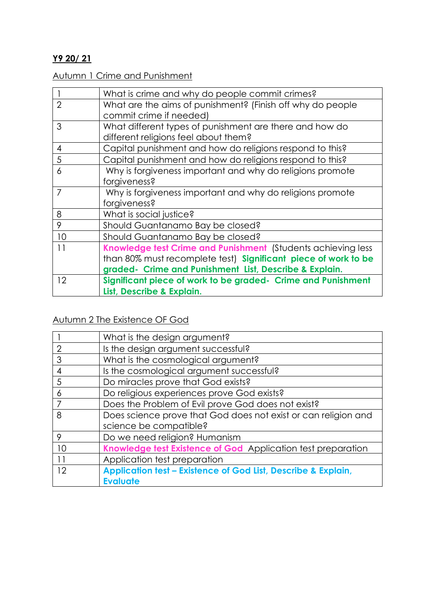#### **Y9 20/ 21**

#### Autumn 1 Crime and Punishment

|                | What is crime and why do people commit crimes?                                                                                                                                           |
|----------------|------------------------------------------------------------------------------------------------------------------------------------------------------------------------------------------|
| $\overline{2}$ | What are the aims of punishment? (Finish off why do people<br>commit crime if needed)                                                                                                    |
| 3              | What different types of punishment are there and how do<br>different religions feel about them?                                                                                          |
| 4              | Capital punishment and how do religions respond to this?                                                                                                                                 |
| 5              | Capital punishment and how do religions respond to this?                                                                                                                                 |
| 6              | Why is forgiveness important and why do religions promote<br>forgiveness?                                                                                                                |
| 7              | Why is forgiveness important and why do religions promote<br>forgiveness?                                                                                                                |
| 8              | What is social justice?                                                                                                                                                                  |
| 9              | Should Guantanamo Bay be closed?                                                                                                                                                         |
| 10             | Should Guantanamo Bay be closed?                                                                                                                                                         |
| 11             | Knowledge test Crime and Punishment (Students achieving less<br>than 80% must recomplete test) Significant piece of work to be<br>graded- Crime and Punishment List, Describe & Explain. |
| 12             | Significant piece of work to be graded- Crime and Punishment<br>List, Describe & Explain.                                                                                                |

# Autumn 2 The Existence OF God

|                | What is the design argument?                                   |
|----------------|----------------------------------------------------------------|
| $\overline{2}$ | Is the design argument successful?                             |
| 3              | What is the cosmological argument?                             |
| 4              | Is the cosmological argument successful?                       |
| 5              | Do miracles prove that God exists?                             |
| 6              | Do religious experiences prove God exists?                     |
|                | Does the Problem of Evil prove God does not exist?             |
| 8              | Does science prove that God does not exist or can religion and |
|                | science be compatible?                                         |
| 9              | Do we need religion? Humanism                                  |
| 10             | Knowledge test Existence of God Application test preparation   |
| 11             | Application test preparation                                   |
| 12             | Application test - Existence of God List, Describe & Explain,  |
|                | <b>Evaluate</b>                                                |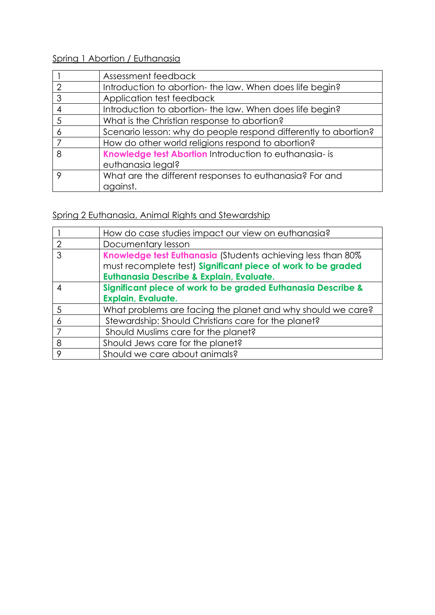# Spring 1 Abortion / Euthanasia

|               | Assessment feedback                                                         |
|---------------|-----------------------------------------------------------------------------|
| $\mathcal{D}$ | Introduction to abortion- the law. When does life begin?                    |
| 3             | Application test feedback                                                   |
|               | Introduction to abortion-the law. When does life begin?                     |
| 5             | What is the Christian response to abortion?                                 |
| 6             | Scenario lesson: why do people respond differently to abortion?             |
|               | How do other world religions respond to abortion?                           |
| 8             | Knowledge test Abortion Introduction to euthanasia- is<br>euthanasia legal? |
| Q             | What are the different responses to euthanasia? For and<br>against.         |

# Spring 2 Euthanasia, Animal Rights and Stewardship

| How do case studies impact our view on euthanasia?           |
|--------------------------------------------------------------|
| Documentary lesson                                           |
| Knowledge test Euthanasia (Students achieving less than 80%  |
| must recomplete test) Significant piece of work to be graded |
| <b>Euthanasia Describe &amp; Explain, Evaluate.</b>          |
| Significant piece of work to be graded Euthanasia Describe & |
| <b>Explain, Evaluate.</b>                                    |
| What problems are facing the planet and why should we care?  |
| Stewardship: Should Christians care for the planet?          |
| Should Muslims care for the planet?                          |
| Should Jews care for the planet?                             |
| Should we care about animals?                                |
|                                                              |